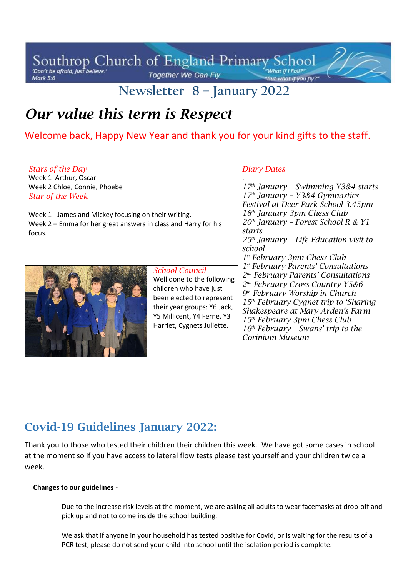Southrop Church of England Primary School Together We Can Fly Mark 5:6

# **Newsletter 8 – January 2022**

# *Our value this term is Respect*

Welcome back, Happy New Year and thank you for your kind gifts to the staff.

| <b>Stars of the Day</b>                                                                                                                           |                                                                                                                                                                                                       | <b>Diary Dates</b>                                                                                                                                                                                                                                                                                                                                                                                                                         |
|---------------------------------------------------------------------------------------------------------------------------------------------------|-------------------------------------------------------------------------------------------------------------------------------------------------------------------------------------------------------|--------------------------------------------------------------------------------------------------------------------------------------------------------------------------------------------------------------------------------------------------------------------------------------------------------------------------------------------------------------------------------------------------------------------------------------------|
| Week 1 Arthur, Oscar                                                                                                                              |                                                                                                                                                                                                       |                                                                                                                                                                                                                                                                                                                                                                                                                                            |
| Week 2 Chloe, Connie, Phoebe                                                                                                                      |                                                                                                                                                                                                       | $17th$ January - Swimming Y3&4 starts                                                                                                                                                                                                                                                                                                                                                                                                      |
| <b>Star of the Week</b><br>Week 1 - James and Mickey focusing on their writing.<br>Week 2 - Emma for her great answers in class and Harry for his |                                                                                                                                                                                                       | $17th$ January - Y3&4 Gymnastics<br>Festival at Deer Park School 3.45pm<br>18 <sup>th</sup> January 3pm Chess Club<br>20 <sup>th</sup> January - Forest School R & Y1<br>starts                                                                                                                                                                                                                                                            |
| focus.                                                                                                                                            |                                                                                                                                                                                                       | $25th$ January - Life Education visit to                                                                                                                                                                                                                                                                                                                                                                                                   |
|                                                                                                                                                   | <b>School Council</b><br>Well done to the following<br>children who have just<br>been elected to represent<br>their year groups: Y6 Jack,<br>Y5 Millicent, Y4 Ferne, Y3<br>Harriet, Cygnets Juliette. | school<br>$1st$ February 3pm Chess Club<br>1 <sup>st</sup> February Parents' Consultations<br>2 <sup>nd</sup> February Parents' Consultations<br>2 <sup>nd</sup> February Cross Country Y5&6<br>9 <sup>th</sup> February Worship in Church<br>15 <sup>th</sup> February Cygnet trip to 'Sharing<br>Shakespeare at Mary Arden's Farm<br>15 <sup>th</sup> February 3pm Chess Club<br>$16th$ February - Swans' trip to the<br>Corinium Museum |

### **Covid-19 Guidelines January 2022:**

Thank you to those who tested their children their children this week. We have got some cases in school at the moment so if you have access to lateral flow tests please test yourself and your children twice a week.

#### **Changes to our guidelines** -

Due to the increase risk levels at the moment, we are asking all adults to wear facemasks at drop-off and pick up and not to come inside the school building.

We ask that if anyone in your household has tested positive for Covid, or is waiting for the results of a PCR test, please do not send your child into school until the isolation period is complete.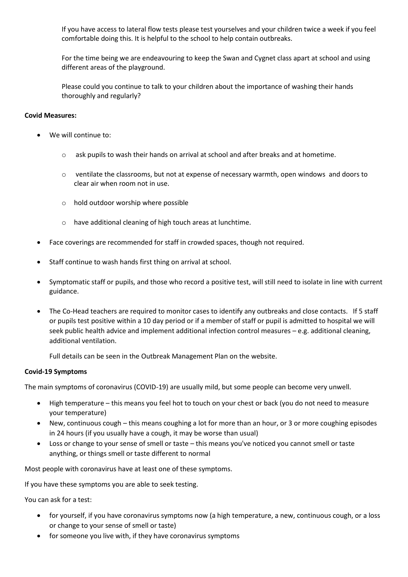If you have access to lateral flow tests please test yourselves and your children twice a week if you feel comfortable doing this. It is helpful to the school to help contain outbreaks.

For the time being we are endeavouring to keep the Swan and Cygnet class apart at school and using different areas of the playground.

Please could you continue to talk to your children about the importance of washing their hands thoroughly and regularly?

#### **Covid Measures:**

- We will continue to:
	- o ask pupils to wash their hands on arrival at school and after breaks and at hometime.
	- $\circ$  ventilate the classrooms, but not at expense of necessary warmth, open windows and doors to clear air when room not in use.
	- o hold outdoor worship where possible
	- o have additional cleaning of high touch areas at lunchtime.
- Face coverings are recommended for staff in crowded spaces, though not required.
- Staff continue to wash hands first thing on arrival at school.
- Symptomatic staff or pupils, and those who record a positive test, will still need to isolate in line with current guidance.
- The Co-Head teachers are required to monitor cases to identify any outbreaks and close contacts. If 5 staff or pupils test positive within a 10 day period or if a member of staff or pupil is admitted to hospital we will seek public health advice and implement additional infection control measures – e.g. additional cleaning, additional ventilation.

Full details can be seen in the Outbreak Management Plan on the website.

#### **Covid-19 Symptoms**

The main symptoms of coronavirus (COVID-19) are usually mild, but some people can become very unwell.

- High temperature this means you feel hot to touch on your chest or back (you do not need to measure your temperature)
- New, continuous cough this means coughing a lot for more than an hour, or 3 or more coughing episodes in 24 hours (if you usually have a cough, it may be worse than usual)
- Loss or change to your sense of smell or taste this means you've noticed you cannot smell or taste anything, or things smell or taste different to normal

Most people with coronavirus have at least one of these symptoms.

If you have these symptoms you are able to seek testing.

You can ask for a test:

- for yourself, if you have coronavirus symptoms now (a high temperature, a new, continuous cough, or a loss or change to your sense of smell or taste)
- for someone you live with, if they have coronavirus symptoms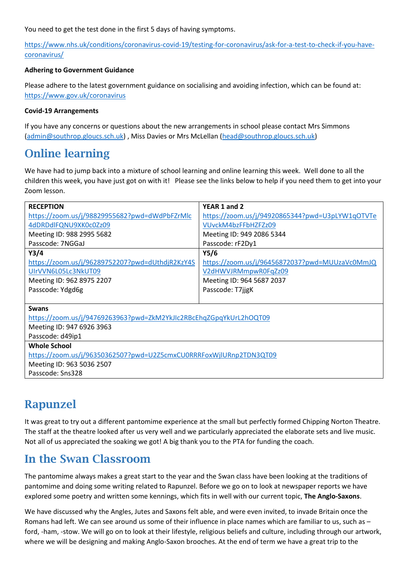You need to get the test done in the first 5 days of having symptoms.

[https://www.nhs.uk/conditions/coronavirus-covid-19/testing-for-coronavirus/ask-for-a-test-to-check-if-you-have](https://www.nhs.uk/conditions/coronavirus-covid-19/testing-for-coronavirus/ask-for-a-test-to-check-if-you-have-coronavirus/)[coronavirus/](https://www.nhs.uk/conditions/coronavirus-covid-19/testing-for-coronavirus/ask-for-a-test-to-check-if-you-have-coronavirus/)

#### **Adhering to Government Guidance**

Please adhere to the latest government guidance on socialising and avoiding infection, which can be found at: <https://www.gov.uk/coronavirus>

#### **Covid-19 Arrangements**

If you have any concerns or questions about the new arrangements in school please contact Mrs Simmons [\(admin@southrop.gloucs.sch.uk\)](mailto:admin@southrop.gloucs.sch.uk) , Miss Davies or Mrs McLellan [\(head@southrop.gloucs.sch.uk\)](mailto:head@southrop.gloucs.sch.uk)

### **Online learning**

We have had to jump back into a mixture of school learning and online learning this week. Well done to all the children this week, you have just got on with it! Please see the links below to help if you need them to get into your Zoom lesson.

| <b>RECEPTION</b>                                                   | YEAR 1 and 2                                    |  |  |
|--------------------------------------------------------------------|-------------------------------------------------|--|--|
| https://zoom.us/j/98829955682?pwd=dWdPbFZrMlc                      | https://zoom.us/j/94920865344?pwd=U3pLYW1qOTVTe |  |  |
| 4dDRDdlFQNU9XK0c0Zz09                                              | VUvckM4bzFFbHZFZz09                             |  |  |
| Meeting ID: 988 2995 5682                                          | Meeting ID: 949 2086 5344                       |  |  |
| Passcode: 7NGGaJ                                                   | Passcode: rF2Dy1                                |  |  |
| Y3/4                                                               | Y5/6                                            |  |  |
| https://zoom.us/j/96289752207?pwd=dUthdjR2KzY4S                    | https://zoom.us/j/96456872037?pwd=MUUzaVc0MmJQ  |  |  |
| UIrVVN6L05Lc3NkUT09                                                | V2dHWVJRMmpwR0FqZz09                            |  |  |
| Meeting ID: 962 8975 2207                                          | Meeting ID: 964 5687 2037                       |  |  |
| Passcode: Ydgd6g                                                   | Passcode: T7jjgK                                |  |  |
|                                                                    |                                                 |  |  |
| <b>Swans</b>                                                       |                                                 |  |  |
| https://zoom.us/j/94769263963?pwd=ZkM2YkJIc2RBcEhqZGpqYkUrL2hOQT09 |                                                 |  |  |
| Meeting ID: 947 6926 3963                                          |                                                 |  |  |
| Passcode: d49ip1                                                   |                                                 |  |  |
| <b>Whole School</b>                                                |                                                 |  |  |
| https://zoom.us/j/96350362507?pwd=U2Z5cmxCU0RRRFoxWjlURnp2TDN3QT09 |                                                 |  |  |
| Meeting ID: 963 5036 2507                                          |                                                 |  |  |
| Passcode: Sns328                                                   |                                                 |  |  |
|                                                                    |                                                 |  |  |

### **Rapunzel**

It was great to try out a different pantomime experience at the small but perfectly formed Chipping Norton Theatre. The staff at the theatre looked after us very well and we particularly appreciated the elaborate sets and live music. Not all of us appreciated the soaking we got! A big thank you to the PTA for funding the coach.

### **In the Swan Classroom**

The pantomime always makes a great start to the year and the Swan class have been looking at the traditions of pantomime and doing some writing related to Rapunzel. Before we go on to look at newspaper reports we have explored some poetry and written some kennings, which fits in well with our current topic, **The Anglo-Saxons**.

We have discussed why the Angles, Jutes and Saxons felt able, and were even invited, to invade Britain once the Romans had left. We can see around us some of their influence in place names which are familiar to us, such as – ford, -ham, -stow. We will go on to look at their lifestyle, religious beliefs and culture, including through our artwork, where we will be designing and making Anglo-Saxon brooches. At the end of term we have a great trip to the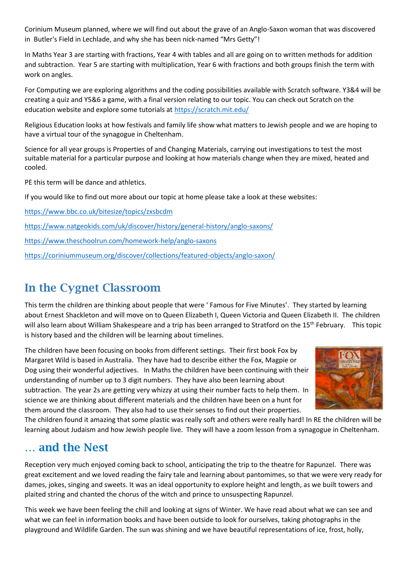Corinium Museum planned, where we will find out about the grave of an Anglo-Saxon woman that was discovered in Butler's Field in Lechlade, and why she has been nick-named "Mrs Getty"!

In Maths Year 3 are starting with fractions, Year 4 with tables and all are going on to written methods for addition and subtraction. Year 5 are starting with multiplication, Year 6 with fractions and both groups finish the term with work on angles.

For Computing we are exploring algorithms and the coding possibilities available with Scratch software. Y3&4 will be creating a quiz and Y5&6 a game, with a final version relating to our topic. You can check out Scratch on the education website and explore some tutorials at<https://scratch.mit.edu/>

Religious Education looks at how festivals and family life show what matters to Jewish people and we are hoping to have a virtual tour of the synagogue in Cheltenham.

Science for all year groups is Properties of and Changing Materials, carrying out investigations to test the most suitable material for a particular purpose and looking at how materials change when they are mixed, heated and cooled.

PE this term will be dance and athletics.

If you would like to find out more about our topic at home please take a look at these websites:

<https://www.bbc.co.uk/bitesize/topics/zxsbcdm> <https://www.natgeokids.com/uk/discover/history/general-history/anglo-saxons/> <https://www.theschoolrun.com/homework-help/anglo-saxons> <https://coriniummuseum.org/discover/collections/featured-objects/anglo-saxon/>

## **In the Cygnet Classroom**

This term the children are thinking about people that were ' Famous for Five Minutes'. They started by learning about Ernest Shackleton and will move on to Queen Elizabeth I, Queen Victoria and Queen Elizabeth II. The children will also learn about William Shakespeare and a trip has been arranged to Stratford on the 15<sup>th</sup> February. This topic is history based and the children will be learning about timelines.

The children have been focusing on books from different settings. Their first book Fox by Margaret Wild is based in Australia. They have had to describe either the Fox, Magpie or Dog using their wonderful adjectives. In Maths the children have been continuing with their understanding of number up to 3 digit numbers. They have also been learning about subtraction. The year 2s are getting very whizzy at using their number facts to help them. In science we are thinking about different materials and the children have been on a hunt for them around the classroom. They also had to use their senses to find out their properties.



The children found it amazing that some plastic was really soft and others were really hard! In RE the children will be learning about Judaism and how Jewish people live. They will have a zoom lesson from a synagogue in Cheltenham.

### **… and the Nest**

Reception very much enjoyed coming back to school, anticipating the trip to the theatre for Rapunzel. There was great excitement and we loved reading the fairy tale and learning about pantomimes, so that we were very ready for dames, jokes, singing and sweets. It was an ideal opportunity to explore height and length, as we built towers and plaited string and chanted the chorus of the witch and prince to unsuspecting Rapunzel.

This week we have been feeling the chill and looking at signs of Winter. We have read about what we can see and what we can feel in information books and have been outside to look for ourselves, taking photographs in the playground and Wildlife Garden. The sun was shining and we have beautiful representations of ice, frost, holly,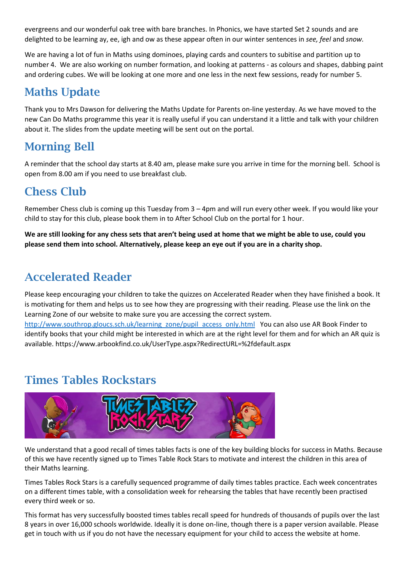evergreens and our wonderful oak tree with bare branches. In Phonics, we have started Set 2 sounds and are delighted to be learning ay, ee, igh and ow as these appear often in our winter sentences in *see, feel* and *snow.*

We are having a lot of fun in Maths using dominoes, playing cards and counters to subitise and partition up to number 4. We are also working on number formation, and looking at patterns - as colours and shapes, dabbing paint and ordering cubes. We will be looking at one more and one less in the next few sessions, ready for number 5.

## **Maths Update**

Thank you to Mrs Dawson for delivering the Maths Update for Parents on-line yesterday. As we have moved to the new Can Do Maths programme this year it is really useful if you can understand it a little and talk with your children about it. The slides from the update meeting will be sent out on the portal.

## **Morning Bell**

A reminder that the school day starts at 8.40 am, please make sure you arrive in time for the morning bell. School is open from 8.00 am if you need to use breakfast club.

## **Chess Club**

Remember Chess club is coming up this Tuesday from 3 – 4pm and will run every other week. If you would like your child to stay for this club, please book them in to After School Club on the portal for 1 hour.

**We are still looking for any chess sets that aren't being used at home that we might be able to use, could you please send them into school. Alternatively, please keep an eye out if you are in a charity shop.** 

## **Accelerated Reader**

Please keep encouraging your children to take the quizzes on Accelerated Reader when they have finished a book. It is motivating for them and helps us to see how they are progressing with their reading. Please use the link on the Learning Zone of our website to make sure you are accessing the correct system.

[http://www.southrop.gloucs.sch.uk/learning\\_zone/pupil\\_access\\_only.html](http://www.southrop.gloucs.sch.uk/learning_zone/pupil_access_only.html) You can also use AR Book Finder to identify books that your child might be interested in which are at the right level for them and for which an AR quiz is available.<https://www.arbookfind.co.uk/UserType.aspx?RedirectURL=%2fdefault.aspx>

# **Times Tables Rockstars**



We understand that a good recall of times tables facts is one of the key building blocks for success in Maths. Because of this we have recently signed up to Times Table Rock Stars to motivate and interest the children in this area of their Maths learning.

Times Tables Rock Stars is a carefully sequenced programme of daily times tables practice. Each week concentrates on a different times table, with a consolidation week for rehearsing the tables that have recently been practised every third week or so.

This format has very successfully boosted times tables recall speed for hundreds of thousands of pupils over the last 8 years in over 16,000 schools worldwide. Ideally it is done on-line, though there is a paper version available. Please get in touch with us if you do not have the necessary equipment for your child to access the website at home.